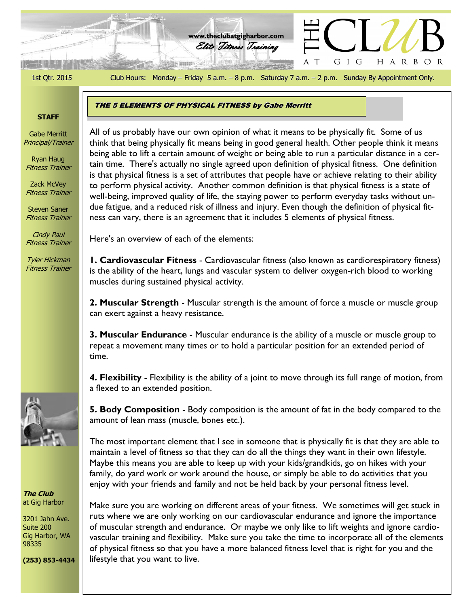1st Qtr. 2015 Club Hours: Monday – Friday 5 a.m. – 8 p.m. Saturday 7 a.m. – 2 p.m. Sunday By Appointment Only.

GIG

 $\top$ 

H A R B O R

#### **STAFF**

Gabe Merritt Principal/Trainer

Ryan Haug Fitness Trainer

Zack McVey Fitness Trainer

Steven Saner Fitness Trainer

Cindy Paul Fitness Trainer

Tyler Hickman Fitness Trainer

**The Club** at Gig Harbor

3201 Jahn Ave. Suite 200 Gig Harbor, WA 98335

**(253) 853-4434**

THE 5 ELEMENTS OF PHYSICAL FITNESS by Gabe Merritt

the Club comparison, it include the good general nearch. Other people think it includes being able to lift a certain amount of weight or being able to run a particular distance in a cer-All of us probably have our own opinion of what it means to be physically fit. Some of us think that being physically fit means being in good general health. Other people think it means tain time. There's actually no single agreed upon definition of physical fitness. One definition is that physical fitness is a set of attributes that people have or achieve relating to their ability to perform physical activity. Another common definition is that physical fitness is a state of well-being, improved quality of life, the staying power to perform everyday tasks without undue fatigue, and a reduced risk of illness and injury. Even though the definition of physical fitness can vary, there is an agreement that it includes 5 elements of physical fitness.

Here's an overview of each of the elements:

**1. Cardiovascular Fitness** - Cardiovascular fitness (also known as cardiorespiratory fitness) is the ability of the heart, lungs and vascular system to deliver oxygen-rich blood to working muscles during sustained physical activity.

**2. Muscular Strength** - Muscular strength is the amount of force a muscle or muscle group can exert against a heavy resistance.

**3. Muscular Endurance** - Muscular endurance is the ability of a muscle or muscle group to repeat a movement many times or to hold a particular position for an extended period of time.

**4. Flexibility** - Flexibility is the ability of a joint to move through its full range of motion, from a flexed to an extended position.

**5. Body Composition** - Body composition is the amount of fat in the body compared to the amount of lean mass (muscle, bones etc.).

The most important element that I see in someone that is physically fit is that they are able to maintain a level of fitness so that they can do all the things they want in their own lifestyle. Maybe this means you are able to keep up with your kids/grandkids, go on hikes with your family, do yard work or work around the house, or simply be able to do activities that you enjoy with your friends and family and not be held back by your personal fitness level.

Make sure you are working on different areas of your fitness. We sometimes will get stuck in ruts where we are only working on our cardiovascular endurance and ignore the importance of muscular strength and endurance. Or maybe we only like to lift weights and ignore cardiovascular training and flexibility. Make sure you take the time to incorporate all of the elements of physical fitness so that you have a more balanced fitness level that is right for you and the lifestyle that you want to live.





**www.theclubatgigharbor.com**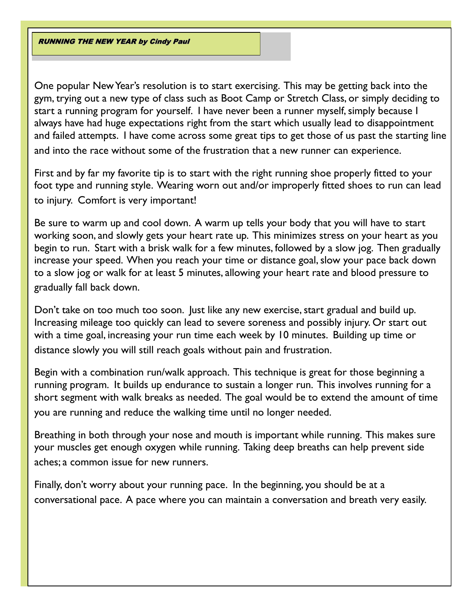RUNNING THE NEW YEAR by Cindy Paul

One popular New Year's resolution is to start exercising. This may be getting back into the gym, trying out a new type of class such as Boot Camp or Stretch Class, or simply deciding to start a running program for yourself. I have never been a runner myself, simply because I always have had huge expectations right from the start which usually lead to disappointment and failed attempts. I have come across some great tips to get those of us past the starting line and into the race without some of the frustration that a new runner can experience.

First and by far my favorite tip is to start with the right running shoe properly fitted to your foot type and running style. Wearing worn out and/or improperly fitted shoes to run can lead to injury. Comfort is very important!

Be sure to warm up and cool down. A warm up tells your body that you will have to start working soon, and slowly gets your heart rate up. This minimizes stress on your heart as you begin to run. Start with a brisk walk for a few minutes, followed by a slow jog. Then gradually increase your speed. When you reach your time or distance goal, slow your pace back down to a slow jog or walk for at least 5 minutes, allowing your heart rate and blood pressure to gradually fall back down.

Don't take on too much too soon. Just like any new exercise, start gradual and build up. Increasing mileage too quickly can lead to severe soreness and possibly injury. Or start out with a time goal, increasing your run time each week by 10 minutes. Building up time or distance slowly you will still reach goals without pain and frustration.

Begin with a combination run/walk approach. This technique is great for those beginning a running program. It builds up endurance to sustain a longer run. This involves running for a short segment with walk breaks as needed. The goal would be to extend the amount of time you are running and reduce the walking time until no longer needed.

Breathing in both through your nose and mouth is important while running. This makes sure your muscles get enough oxygen while running. Taking deep breaths can help prevent side aches; a common issue for new runners.

Finally, don't worry about your running pace. In the beginning, you should be at a conversational pace. A pace where you can maintain a conversation and breath very easily.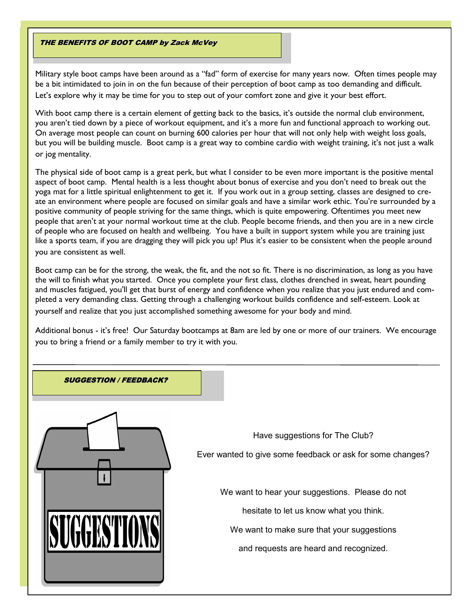#### THE BENEFITS OF BOOT CAMP by Zack McVey

Military style boot camps have been around as a "fad" form of exercise for many years now. Often times people may be a bit intimidated to join in on the fun because of their perception of boot camp as too demanding and difficult. Let's explore why it may be time for you to step out of your comfort zone and give it your best effort.

With boot camp there is a certain element of getting back to the basics, it's outside the normal club environment, you aren't tied down by a piece of workout equipment, and it's a more fun and functional approach to working out. On average most people can count on burning 600 calories per hour that will not only help with weight loss goals, but you will be building muscle. Boot camp is a great way to combine cardio with weight training, it's not just a walk or jog mentality.

The physical side of boot camp is a great perk, but what I consider to be even more important is the positive mental aspect of boot camp. Mental health is a less thought about bonus of exercise and you don't need to break out the yoga mat for a little spiritual enlightenment to get it. If you work out in a group setting, classes are designed to create an environment where people are focused on similar goals and have a similar work ethic. You're surrounded by a positive community of people striving for the same things, which is quite empowering. Oftentimes you meet new people that aren't at your normal workout time at the club. People become friends, and then you are in a new circle of people who are focused on health and wellbeing. You have a built in support system while you are training just like a sports team, if you are dragging they will pick you up! Plus it's easier to be consistent when the people around you are consistent as well.

Boot camp can be for the strong, the weak, the fit, and the not so fit. There is no discrimination, as long as you have the will to finish what you started. Once you complete your first class, clothes drenched in sweat, heart pounding and muscles fatigued, you'll get that burst of energy and confidence when you realize that you just endured and completed a very demanding class. Getting through a challenging workout builds confidence and self-esteem. Look at yourself and realize that you just accomplished something awesome for your body and mind.

Additional bonus - it's free! Our Saturday bootcamps at 8am are led by one or more of our trainers. We encourage you to bring a friend or a family member to try it with you.

# SUGGESTION / FEEDBACK? Have suggestions for The Club? Ever wanted to give some feedback or ask for some changes? We want to hear your suggestions. Please do not hesitate to let us know what you think. We want to make sure that your suggestions and requests are heard and recognized.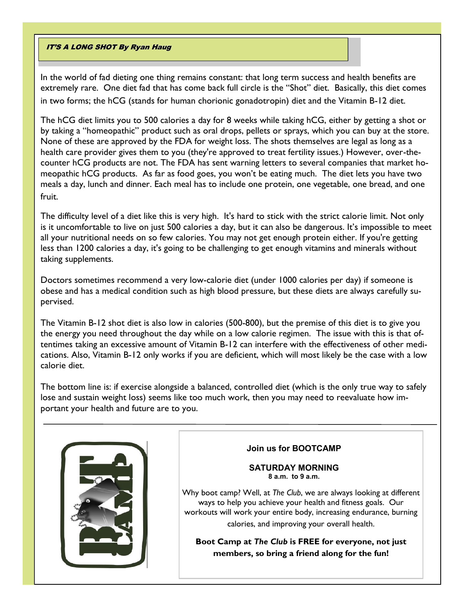## IT'S A LONG SHOT By Ryan Haug

In the world of fad dieting one thing remains constant: that long term success and health benefits are extremely rare. One diet fad that has come back full circle is the "Shot" diet. Basically, this diet comes in two forms; the hCG (stands for human chorionic gonadotropin) diet and the Vitamin B-12 diet.

The hCG diet limits you to 500 calories a day for 8 weeks while taking hCG, either by getting a shot or by taking a "homeopathic" product such as oral drops, pellets or sprays, which you can buy at the store. None of these are approved by the FDA for weight loss. The shots themselves are legal as long as a health care provider gives them to you (they're approved to treat fertility issues.) However, over-thecounter hCG products are not. The FDA has sent warning letters to several companies that market homeopathic hCG products. As far as food goes, you won't be eating much. The diet lets you have two meals a day, lunch and dinner. Each meal has to include one protein, one vegetable, one bread, and one fruit.

The difficulty level of a diet like this is very high. It's hard to stick with the strict calorie limit. Not only is it uncomfortable to live on just 500 calories a day, but it can also be dangerous. It's impossible to meet all your nutritional needs on so few calories. You may not get enough protein either. If you're getting less than 1200 calories a day, it's going to be challenging to get enough vitamins and minerals without taking supplements.

Doctors sometimes recommend a very low-calorie diet (under 1000 calories per day) if someone is obese and has a medical condition such as high blood pressure, but these diets are always carefully supervised.

The Vitamin B-12 shot diet is also low in calories (500-800), but the premise of this diet is to give you the energy you need throughout the day while on a low calorie regimen. The issue with this is that oftentimes taking an excessive amount of Vitamin B-12 can interfere with the effectiveness of other medications. Also, Vitamin B-12 only works if you are deficient, which will most likely be the case with a low calorie diet.

The bottom line is: if exercise alongside a balanced, controlled diet (which is the only true way to safely lose and sustain weight loss) seems like too much work, then you may need to reevaluate how important your health and future are to you.



# **Join us for BOOTCAMP**

#### **SATURDAY MORNING 8 a.m. to 9 a.m.**

Why boot camp? Well, at *The Club*, we are always looking at different ways to help you achieve your health and fitness goals. Our workouts will work your entire body, increasing endurance, burning calories, and improving your overall health.

**Boot Camp at** *The Club* **is FREE for everyone, not just members, so bring a friend along for the fun!**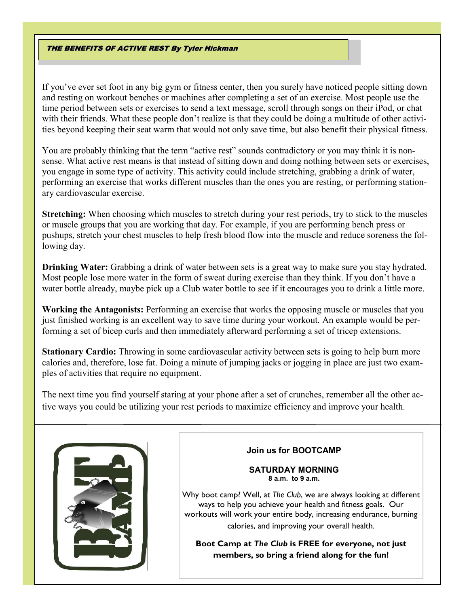#### THE BENEFITS OF ACTIVE REST By Tyler Hickman

If you've ever set foot in any big gym or fitness center, then you surely have noticed people sitting down and resting on workout benches or machines after completing a set of an exercise. Most people use the time period between sets or exercises to send a text message, scroll through songs on their iPod, or chat with their friends. What these people don't realize is that they could be doing a multitude of other activities beyond keeping their seat warm that would not only save time, but also benefit their physical fitness.

You are probably thinking that the term "active rest" sounds contradictory or you may think it is nonsense. What active rest means is that instead of sitting down and doing nothing between sets or exercises, you engage in some type of activity. This activity could include stretching, grabbing a drink of water, performing an exercise that works different muscles than the ones you are resting, or performing stationary cardiovascular exercise.

**Stretching:** When choosing which muscles to stretch during your rest periods, try to stick to the muscles or muscle groups that you are working that day. For example, if you are performing bench press or pushups, stretch your chest muscles to help fresh blood flow into the muscle and reduce soreness the following day.

**Drinking Water:** Grabbing a drink of water between sets is a great way to make sure you stay hydrated. Most people lose more water in the form of sweat during exercise than they think. If you don't have a water bottle already, maybe pick up a Club water bottle to see if it encourages you to drink a little more.

**Working the Antagonists:** Performing an exercise that works the opposing muscle or muscles that you just finished working is an excellent way to save time during your workout. An example would be performing a set of bicep curls and then immediately afterward performing a set of tricep extensions.

**Stationary Cardio:** Throwing in some cardiovascular activity between sets is going to help burn more calories and, therefore, lose fat. Doing a minute of jumping jacks or jogging in place are just two examples of activities that require no equipment.

The next time you find yourself staring at your phone after a set of crunches, remember all the other active ways you could be utilizing your rest periods to maximize efficiency and improve your health.



# **Join us for BOOTCAMP**

**SATURDAY MORNING 8 a.m. to 9 a.m.**

Why boot camp? Well, at *The Club*, we are always looking at different ways to help you achieve your health and fitness goals. Our workouts will work your entire body, increasing endurance, burning calories, and improving your overall health.

**Boot Camp at** *The Club* **is FREE for everyone, not just members, so bring a friend along for the fun!**